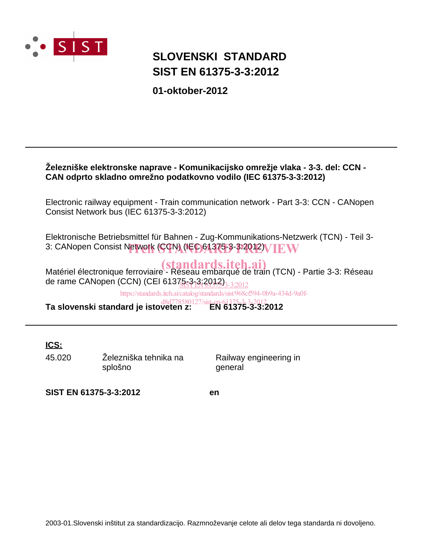

## **SIST EN 61375-3-3:2012 SLOVENSKI STANDARD**

**01-oktober-2012**

#### **Železniške elektronske naprave - Komunikacijsko omrežje vlaka - 3-3. del: CCN - CAN odprto skladno omrežno podatkovno vodilo (IEC 61375-3-3:2012)**

Electronic railway equipment - Train communication network - Part 3-3: CCN - CANopen Consist Network bus (IEC 61375-3-3:2012)

Elektronische Betriebsmittel für Bahnen - Zug-Kommunikations-Netzwerk (TCN) - Teil 3- 3: CANopen Consist Network (CCN) (IEC 61375-3-3:2012)VIEW

Matériel électronique ferroviaire - Réseau embarqué de train (TCN) - Partie 3-3: Réseau de rame CANopen (CCN) (CEI 6137<u>5-3-3;2012)<sub>3-3:2012</sub></u>

https://standards.iteh.ai/catalog/standards/sist/968cf594-0b9a-434d-9a0f-

**Ta slovenski standard je istoveten z:** d8d778580127/sist-en-61375-3-3-2012<br>**defen z: EN 61375-3-3:2012** 

**ICS:**

45.020 Železniška tehnika na splošno

Railway engineering in general

**SIST EN 61375-3-3:2012 en**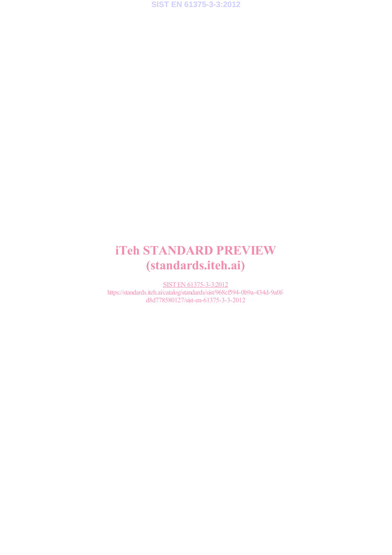

# iTeh STANDARD PREVIEW (standards.iteh.ai)

SIST EN 61375-3-3:2012 https://standards.iteh.ai/catalog/standards/sist/968cf594-0b9a-434d-9a0fd8d778580127/sist-en-61375-3-3-2012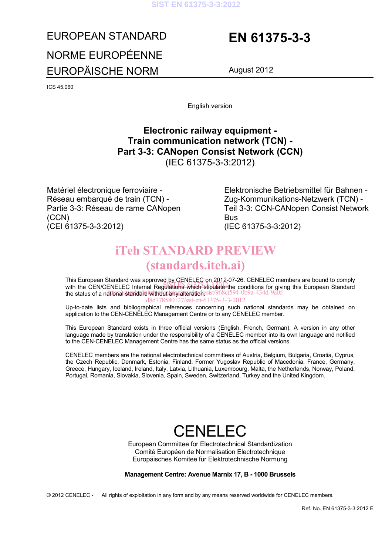#### **SIST EN 61375-3-3:2012**

# EUROPEAN STANDARD **EN 61375-3-3** NORME EUROPÉENNE EUROPÄISCHE NORM August 2012

ICS 45.060

English version

#### **Electronic railway equipment - Train communication network (TCN) - Part 3-3: CANopen Consist Network (CCN)**  (IEC 61375-3-3:2012)

Matériel électronique ferroviaire -Réseau embarqué de train (TCN) - Partie 3-3: Réseau de rame CANopen (CCN) (CEI 61375-3-3:2012)

 Elektronische Betriebsmittel für Bahnen - Zug-Kommunikations-Netzwerk (TCN) - Teil 3-3: CCN-CANopen Consist Network Bus (IEC 61375-3-3:2012)

# iTeh STANDARD PREVIEW (standards.iteh.ai)

This European Standard was approved by CENELEC on 2012-07-26. CENELEC members are bound to comply with the CEN/CENELEC Internal Regulations which stipulate the conditions for giving this European Standard the status of a national standard without any alteration. sist/968cf594-0b9a-434d-9a0fd8d778580127/sist-en-61375-3-3-2012

Up-to-date lists and bibliographical references concerning such national standards may be obtained on application to the CEN-CENELEC Management Centre or to any CENELEC member.

This European Standard exists in three official versions (English, French, German). A version in any other language made by translation under the responsibility of a CENELEC member into its own language and notified to the CEN-CENELEC Management Centre has the same status as the official versions.

CENELEC members are the national electrotechnical committees of Austria, Belgium, Bulgaria, Croatia, Cyprus, the Czech Republic, Denmark, Estonia, Finland, Former Yugoslav Republic of Macedonia, France, Germany, Greece, Hungary, Iceland, Ireland, Italy, Latvia, Lithuania, Luxembourg, Malta, the Netherlands, Norway, Poland, Portugal, Romania, Slovakia, Slovenia, Spain, Sweden, Switzerland, Turkey and the United Kingdom.

# **CENELEC**

European Committee for Electrotechnical Standardization Comité Européen de Normalisation Electrotechnique Europäisches Komitee für Elektrotechnische Normung

#### **Management Centre: Avenue Marnix 17, B - 1000 Brussels**

© 2012 CENELEC - All rights of exploitation in any form and by any means reserved worldwide for CENELEC members.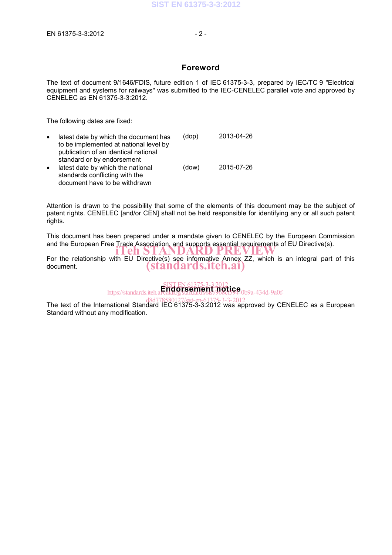#### **Foreword**

The text of document 9/1646/FDIS, future edition 1 of IEC 61375-3-3, prepared by IEC/TC 9 "Electrical equipment and systems for railways" was submitted to the IEC-CENELEC parallel vote and approved by CENELEC as EN 61375-3-3:2012.

The following dates are fixed:

document have to be withdrawn

| $\bullet$ | latest date by which the document has                               | (dop) | 2013-04-26 |
|-----------|---------------------------------------------------------------------|-------|------------|
|           | to be implemented at national level by                              |       |            |
|           | publication of an identical national                                |       |            |
|           | standard or by endorsement                                          |       |            |
| $\bullet$ | latest date by which the national<br>standards conflicting with the | (dow) | 2015-07-26 |

Attention is drawn to the possibility that some of the elements of this document may be the subject of patent rights. CENELEC [and/or CEN] shall not be held responsible for identifying any or all such patent rights.

This document has been prepared under a mandate given to CENELEC by the European Commission and the European Free Trade Association, and supports essential requirements of EU Directive(s).

For the relationship with EU Directive(s) see informative Annex ZZ, which is an integral part of this and the relationship with EU Directive(s) see informative Annex ZZ, which is an integral part of this document. (standards.iteh.ai)

## **Endorsement notice**  SIST EN 61375-3-3:2012

https://standards.iteh.ai/catalog/standards/sist/968cf594-0b9a-434d-9a0f-

d8d778580127/sist-en-61375-3-3-2012<br>The text of the International Standard IEC 61375-3-3:2012 was approved by CENELEC as a European Standard without any modification.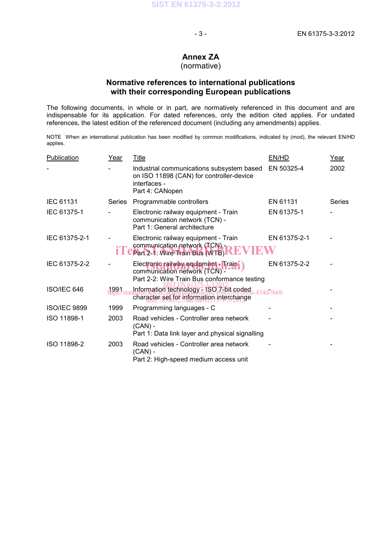## **Annex ZA**

#### (normative)

#### **Normative references to international publications with their corresponding European publications**

The following documents, in whole or in part, are normatively referenced in this document and are indispensable for its application. For dated references, only the edition cited applies. For undated references, the latest edition of the referenced document (including any amendments) applies.

NOTE When an international publication has been modified by common modifications, indicated by (mod), the relevant EN/HD applies.

| Publication         | Year              | <b>Title</b>                                                                                                             | EN/HD        | Year          |
|---------------------|-------------------|--------------------------------------------------------------------------------------------------------------------------|--------------|---------------|
|                     |                   | Industrial communications subsystem based<br>on ISO 11898 (CAN) for controller-device<br>interfaces -<br>Part 4: CANopen | EN 50325-4   | 2002          |
| IEC 61131           | Series            | Programmable controllers                                                                                                 | EN 61131     | <b>Series</b> |
| IEC 61375-1         |                   | Electronic railway equipment - Train<br>communication network (TCN) -<br>Part 1: General architecture                    | EN 61375-1   |               |
| IEC 61375-2-1       |                   | Electronic railway equipment - Train<br>communication network (TCN)<br><b>iTelart2-1: Wire Train Bus (WTB) IN</b>        | EN 61375-2-1 |               |
| IEC 61375-2-2       |                   | Electronic railway equipment Train<br>communication network (TCN) -<br>Part 2-2: Wire Train Bus conformance testing      | EN 61375-2-2 |               |
| ISO/IEC 646         | 1991 <sub>6</sub> | Information technology - ISO 7-bit coded<br>character set for information interchange                                    | 434d-9a0f-   |               |
| <b>ISO/IEC 9899</b> | 1999              | Programming languages - C                                                                                                |              |               |
| ISO 11898-1         | 2003              | Road vehicles - Controller area network<br>$(CAN)$ -<br>Part 1: Data link layer and physical signalling                  |              |               |
| ISO 11898-2         | 2003              | Road vehicles - Controller area network<br>(CAN) -<br>Part 2: High-speed medium access unit                              |              |               |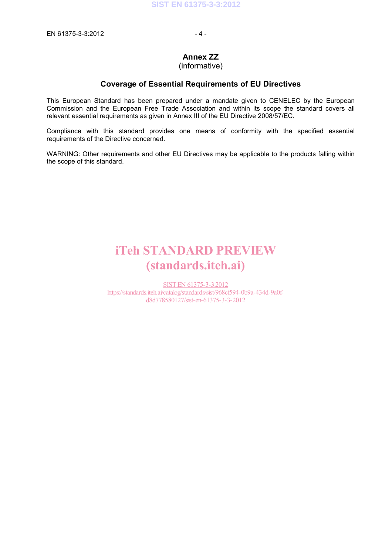#### **Annex ZZ**

#### (informative)

#### **Coverage of Essential Requirements of EU Directives**

This European Standard has been prepared under a mandate given to CENELEC by the European Commission and the European Free Trade Association and within its scope the standard covers all relevant essential requirements as given in Annex III of the EU Directive 2008/57/EC.

Compliance with this standard provides one means of conformity with the specified essential requirements of the Directive concerned.

WARNING: Other requirements and other EU Directives may be applicable to the products falling within the scope of this standard.

# iTeh STANDARD PREVIEW (standards.iteh.ai)

SIST EN 61375-3-3:2012 https://standards.iteh.ai/catalog/standards/sist/968cf594-0b9a-434d-9a0fd8d778580127/sist-en-61375-3-3-2012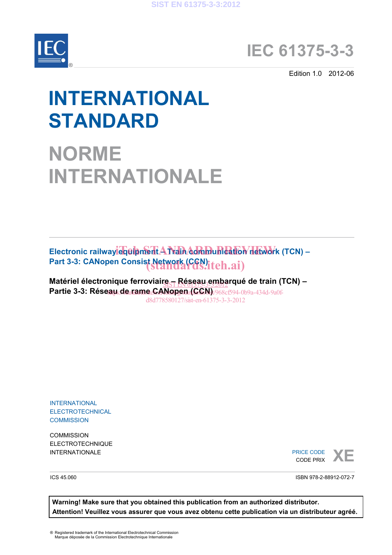



Edition 1.0 2012-06

# **INTERNATIONAL STANDARD**

# **NORME INTERNATIONALE**

Electronic railway equipment **4 Train communication network** (TCN) – Part 3-3: CANopen Consist Network (CGN); teh.ai)

**Matériel électronique ferroviaire – Réseau embarqué de train (TCN) –**  SIST EN 61375-3-3:2012 Partie 3-3: Réseau de rame CANopen (CCN) /968cf594-0b9a-434d-9a0fd8d778580127/sist-en-61375-3-3-2012

INTERNATIONAL **ELECTROTECHNICAL COMMISSION** 

**COMMISSION** ELECTROTECHNIQUE

INTERNATIONALE PRICE CODE PRIXE NEWSLET AND RESERVE TO A SAFEKEEPING ON A SAFEKEEPING ON A SAFEKEEPING ON A SAFEKEEPING ON A SAFEKEEPING ON A SAFEKEEPING ON A SAFEKEEPING ON A SAFEKEEPING ON A SAFEKEEPING ON A SAFEKEEPING PRICE CODE CODE PRIX

ICS 45.060

ISBN 978-2-88912-072-7

**Warning! Make sure that you obtained this publication from an authorized distributor. Attention! Veuillez vous assurer que vous avez obtenu cette publication via un distributeur agréé.**

® Registered trademark of the International Electrotechnical Commission Marque déposée de la Commission Electrotechnique Internationale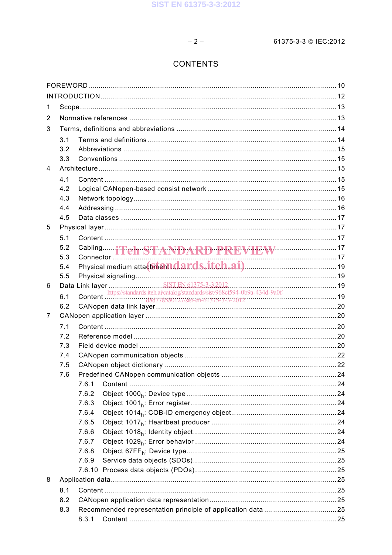### **CONTENTS**

| 1 |     |                                                                                                                          |  |  |
|---|-----|--------------------------------------------------------------------------------------------------------------------------|--|--|
| 2 |     |                                                                                                                          |  |  |
| 3 |     |                                                                                                                          |  |  |
|   | 3.1 |                                                                                                                          |  |  |
|   | 3.2 |                                                                                                                          |  |  |
|   | 3.3 |                                                                                                                          |  |  |
| 4 |     |                                                                                                                          |  |  |
|   | 4.1 |                                                                                                                          |  |  |
|   | 4.2 |                                                                                                                          |  |  |
|   | 4.3 |                                                                                                                          |  |  |
|   | 4.4 |                                                                                                                          |  |  |
|   | 4.5 |                                                                                                                          |  |  |
| 5 |     |                                                                                                                          |  |  |
|   | 5.1 |                                                                                                                          |  |  |
|   | 5.2 |                                                                                                                          |  |  |
|   | 5.3 |                                                                                                                          |  |  |
|   | 5.4 |                                                                                                                          |  |  |
|   | 5.5 |                                                                                                                          |  |  |
| 6 |     |                                                                                                                          |  |  |
|   | 6.1 | https://standards.iteh.ai/catalog/standards/sist/968cf594-0b9a-434d-9a0f-<br>Content d8d778580127/sist-en-61375-3-3-2012 |  |  |
|   | 6.2 |                                                                                                                          |  |  |
| 7 |     |                                                                                                                          |  |  |
|   | 7.1 |                                                                                                                          |  |  |
|   | 7.2 |                                                                                                                          |  |  |
|   | 7.3 |                                                                                                                          |  |  |
|   | 7.4 |                                                                                                                          |  |  |
|   | 7.5 |                                                                                                                          |  |  |
|   | 7.6 |                                                                                                                          |  |  |
|   |     | 7.6.1                                                                                                                    |  |  |
|   |     | 7.6.2                                                                                                                    |  |  |
|   |     | 7.6.3                                                                                                                    |  |  |
|   |     | 7.6.4                                                                                                                    |  |  |
|   |     | 7.6.5                                                                                                                    |  |  |
|   |     | 7.6.6                                                                                                                    |  |  |
|   |     | 7.6.7<br>7.6.8                                                                                                           |  |  |
|   |     | 7.6.9                                                                                                                    |  |  |
|   |     |                                                                                                                          |  |  |
| 8 |     |                                                                                                                          |  |  |
|   | 8.1 |                                                                                                                          |  |  |
|   | 8.2 |                                                                                                                          |  |  |
|   | 8.3 |                                                                                                                          |  |  |
|   |     | 8.3.1                                                                                                                    |  |  |
|   |     |                                                                                                                          |  |  |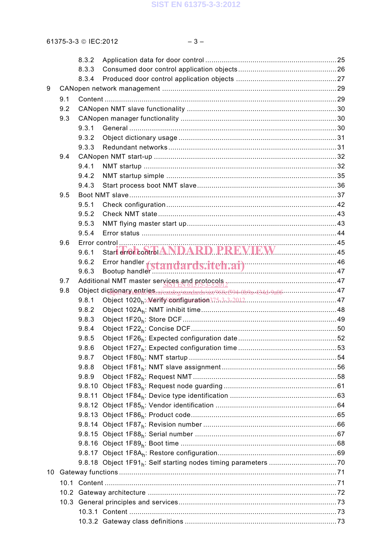|   |     | 8.3.2          |                                                                                 |  |
|---|-----|----------------|---------------------------------------------------------------------------------|--|
|   |     | 8.3.3          |                                                                                 |  |
|   |     | 8.3.4          |                                                                                 |  |
| 9 |     |                |                                                                                 |  |
|   | 9.1 |                |                                                                                 |  |
|   | 9.2 |                |                                                                                 |  |
|   | 9.3 |                |                                                                                 |  |
|   |     | 9.3.1          |                                                                                 |  |
|   |     | 9.3.2          |                                                                                 |  |
|   |     | 9.3.3          |                                                                                 |  |
|   | 9.4 |                |                                                                                 |  |
|   |     | 9.4.1          |                                                                                 |  |
|   |     | 9.4.2          |                                                                                 |  |
|   |     | 9.4.3          |                                                                                 |  |
|   | 9.5 |                |                                                                                 |  |
|   |     | 9.5.1          |                                                                                 |  |
|   |     | 9.5.2          |                                                                                 |  |
|   |     | 9.5.3          |                                                                                 |  |
|   |     | 9.5.4          |                                                                                 |  |
|   | 9.6 |                |                                                                                 |  |
|   |     |                |                                                                                 |  |
|   |     | 9.6.2          |                                                                                 |  |
|   |     | 9.6.3          |                                                                                 |  |
|   | 9.7 |                |                                                                                 |  |
|   | 9.8 |                | Object dictionary cantries aicatalog/standards/sist/968cf594-0b9a-434d-9a0f- 47 |  |
|   |     | 9.8.1          |                                                                                 |  |
|   |     | 9.8.2          |                                                                                 |  |
|   |     | 9.8.3<br>9.8.4 |                                                                                 |  |
|   |     | 9.8.5          |                                                                                 |  |
|   |     |                |                                                                                 |  |
|   |     | 9.8.6          |                                                                                 |  |
|   |     | 9.8.7<br>9.8.8 |                                                                                 |  |
|   |     | 9.8.9          |                                                                                 |  |
|   |     |                |                                                                                 |  |
|   |     |                |                                                                                 |  |
|   |     |                |                                                                                 |  |
|   |     |                |                                                                                 |  |
|   |     |                |                                                                                 |  |
|   |     |                |                                                                                 |  |
|   |     |                |                                                                                 |  |
|   |     |                |                                                                                 |  |
|   |     |                |                                                                                 |  |
|   |     |                |                                                                                 |  |
|   |     |                |                                                                                 |  |
|   |     |                |                                                                                 |  |
|   |     |                |                                                                                 |  |
|   |     |                |                                                                                 |  |
|   |     |                |                                                                                 |  |
|   |     |                |                                                                                 |  |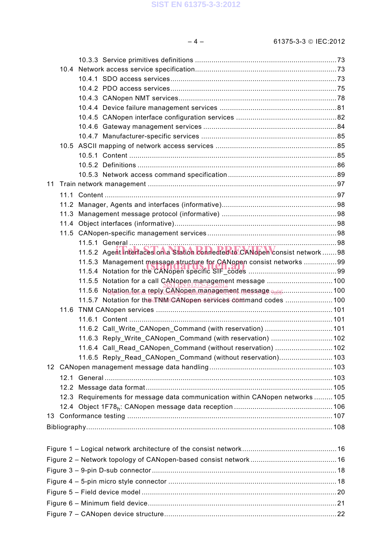|  |      | 11.5.3 Management message structure for CANopen consist networks 99           |  |
|--|------|-------------------------------------------------------------------------------|--|
|  |      |                                                                               |  |
|  |      |                                                                               |  |
|  |      |                                                                               |  |
|  |      | 11.5.7 Notation for the TNMSCANopen-services-command codes  100               |  |
|  | 11.6 |                                                                               |  |
|  |      |                                                                               |  |
|  |      | 11.6.2 Call_Write_CANopen_Command (with reservation)  101                     |  |
|  |      | 11.6.3 Reply_Write_CANopen_Command (with reservation)  102                    |  |
|  |      | 11.6.4 Call_Read_CANopen_Command (without reservation)  102                   |  |
|  |      | 11.6.5 Reply Read CANopen Command (without reservation) 103                   |  |
|  |      |                                                                               |  |
|  |      |                                                                               |  |
|  |      |                                                                               |  |
|  |      | 12.3 Requirements for message data communication within CANopen networks  105 |  |
|  |      |                                                                               |  |
|  |      |                                                                               |  |
|  |      |                                                                               |  |
|  |      |                                                                               |  |
|  |      |                                                                               |  |
|  |      |                                                                               |  |
|  |      |                                                                               |  |
|  |      |                                                                               |  |
|  |      |                                                                               |  |
|  |      |                                                                               |  |
|  |      |                                                                               |  |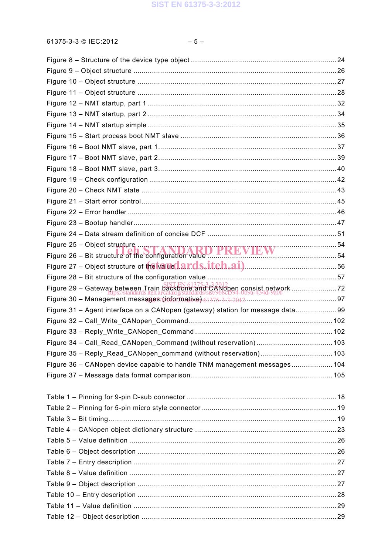| Figure 31 - Agent interface on a CANopen (gateway) station for message data99 |  |
|-------------------------------------------------------------------------------|--|
|                                                                               |  |
|                                                                               |  |
|                                                                               |  |
|                                                                               |  |
| Figure 36 - CANopen device capable to handle TNM management messages 104      |  |
|                                                                               |  |
|                                                                               |  |
|                                                                               |  |
|                                                                               |  |
|                                                                               |  |
|                                                                               |  |
|                                                                               |  |
|                                                                               |  |
|                                                                               |  |
|                                                                               |  |
|                                                                               |  |
|                                                                               |  |
|                                                                               |  |
|                                                                               |  |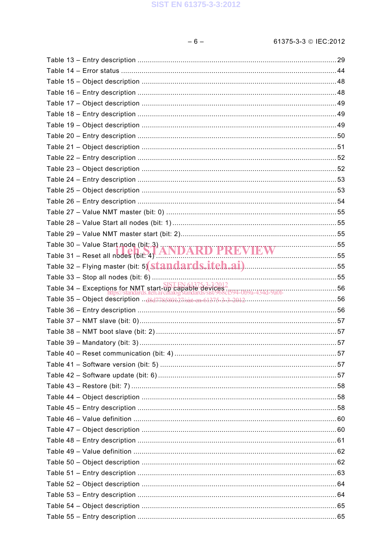### $-6 -$  61375-3-3 © IEC:2012

| Table 30 - Value Start node (bit; 3)<br>Table 31 - Reset all nodes (bit: 4)<br>ANDARD PREVIEW                                                                                                                                           |  |
|-----------------------------------------------------------------------------------------------------------------------------------------------------------------------------------------------------------------------------------------|--|
|                                                                                                                                                                                                                                         |  |
|                                                                                                                                                                                                                                         |  |
|                                                                                                                                                                                                                                         |  |
|                                                                                                                                                                                                                                         |  |
| Table 33 – Stop all nodes (bit: 6) $\frac{\text{SIST EN } 61375-3-32012}{\text{SIST EN } 61375-3-32012}$<br>Table 34 – Exceptions for NMT start-up capable devices<br>Table 35 – Object description dxd778580127/sist-en-61375-3-3-2012 |  |
|                                                                                                                                                                                                                                         |  |
|                                                                                                                                                                                                                                         |  |
|                                                                                                                                                                                                                                         |  |
|                                                                                                                                                                                                                                         |  |
|                                                                                                                                                                                                                                         |  |
|                                                                                                                                                                                                                                         |  |
|                                                                                                                                                                                                                                         |  |
|                                                                                                                                                                                                                                         |  |
|                                                                                                                                                                                                                                         |  |
|                                                                                                                                                                                                                                         |  |
|                                                                                                                                                                                                                                         |  |
|                                                                                                                                                                                                                                         |  |
|                                                                                                                                                                                                                                         |  |
|                                                                                                                                                                                                                                         |  |
|                                                                                                                                                                                                                                         |  |
|                                                                                                                                                                                                                                         |  |
|                                                                                                                                                                                                                                         |  |
|                                                                                                                                                                                                                                         |  |
|                                                                                                                                                                                                                                         |  |
|                                                                                                                                                                                                                                         |  |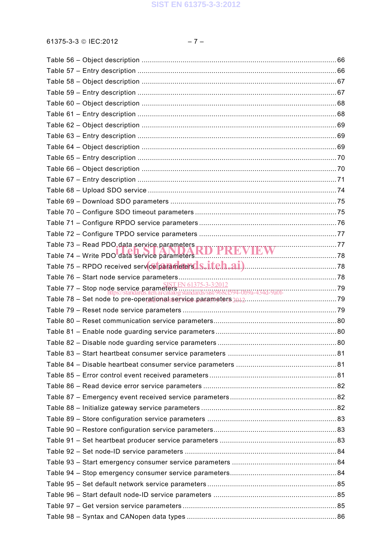#### $61375-3-3$  © IEC:2012  $-7-$

| Table 77 – Stop node service parameters<br>Table 77 – Stop node service parameters<br>https://standards.iteh.a/catalog/standards/sist/968cf594-069a-434d-9a0f |  |
|---------------------------------------------------------------------------------------------------------------------------------------------------------------|--|
|                                                                                                                                                               |  |
|                                                                                                                                                               |  |
|                                                                                                                                                               |  |
|                                                                                                                                                               |  |
|                                                                                                                                                               |  |
|                                                                                                                                                               |  |
|                                                                                                                                                               |  |
|                                                                                                                                                               |  |
|                                                                                                                                                               |  |
|                                                                                                                                                               |  |
|                                                                                                                                                               |  |
|                                                                                                                                                               |  |
|                                                                                                                                                               |  |
|                                                                                                                                                               |  |
|                                                                                                                                                               |  |
|                                                                                                                                                               |  |
|                                                                                                                                                               |  |
|                                                                                                                                                               |  |
|                                                                                                                                                               |  |
|                                                                                                                                                               |  |
|                                                                                                                                                               |  |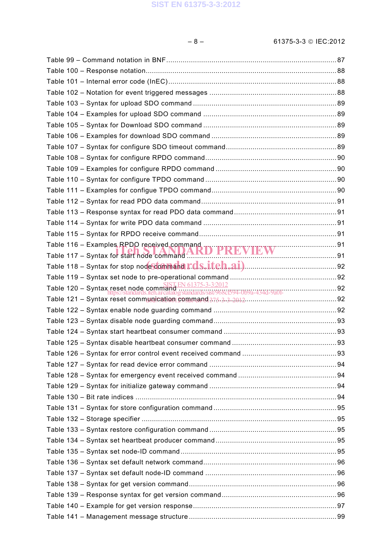| SIST EN 61375-3-3:2012<br>Table 120 – Syntax reset node command<br>https://standards.iteh.ai/catalog/standards/sist/968cf594-069a-434d-9a0f- |  |
|----------------------------------------------------------------------------------------------------------------------------------------------|--|
|                                                                                                                                              |  |
|                                                                                                                                              |  |
|                                                                                                                                              |  |
|                                                                                                                                              |  |
|                                                                                                                                              |  |
|                                                                                                                                              |  |
|                                                                                                                                              |  |
|                                                                                                                                              |  |
|                                                                                                                                              |  |
|                                                                                                                                              |  |
|                                                                                                                                              |  |
|                                                                                                                                              |  |
|                                                                                                                                              |  |
|                                                                                                                                              |  |
|                                                                                                                                              |  |
|                                                                                                                                              |  |
|                                                                                                                                              |  |
|                                                                                                                                              |  |
|                                                                                                                                              |  |
|                                                                                                                                              |  |
|                                                                                                                                              |  |